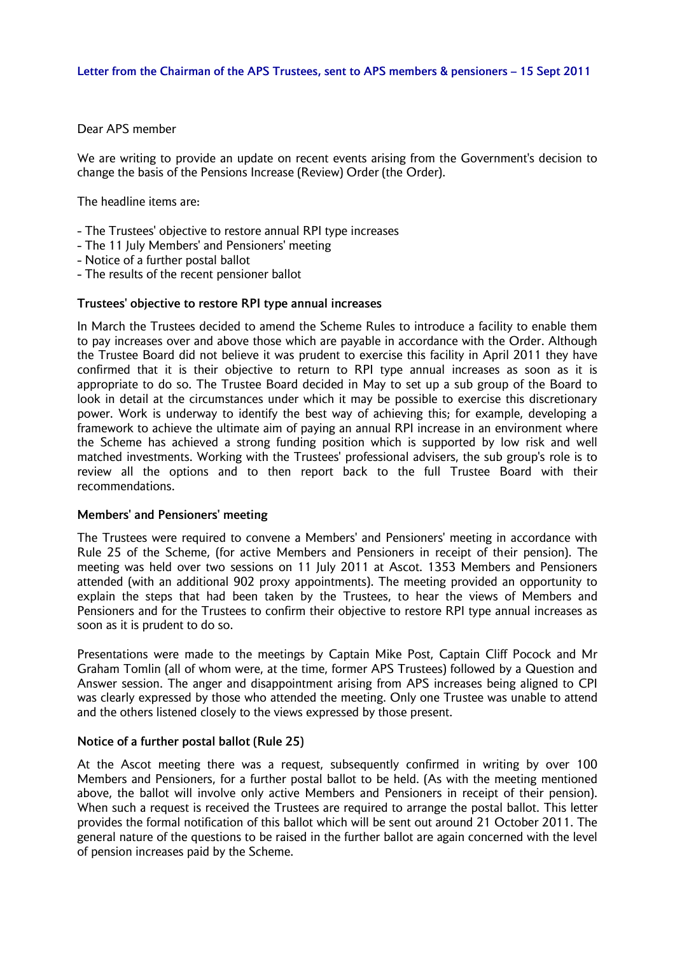## Dear APS member

We are writing to provide an update on recent events arising from the Government's decision to change the basis of the Pensions Increase (Review) Order (the Order).

The headline items are:

- The Trustees' objective to restore annual RPI type increases
- The 11 July Members' and Pensioners' meeting
- Notice of a further postal ballot
- The results of the recent pensioner ballot

### **Trustees' objective to restore RPI type annual increases**

In March the Trustees decided to amend the Scheme Rules to introduce a facility to enable them to pay increases over and above those which are payable in accordance with the Order. Although the Trustee Board did not believe it was prudent to exercise this facility in April 2011 they have confirmed that it is their objective to return to RPI type annual increases as soon as it is appropriate to do so. The Trustee Board decided in May to set up a sub group of the Board to look in detail at the circumstances under which it may be possible to exercise this discretionary power. Work is underway to identify the best way of achieving this; for example, developing a framework to achieve the ultimate aim of paying an annual RPI increase in an environment where the Scheme has achieved a strong funding position which is supported by low risk and well matched investments. Working with the Trustees' professional advisers, the sub group's role is to review all the options and to then report back to the full Trustee Board with their recommendations.

#### **Members' and Pensioners' meeting**

The Trustees were required to convene a Members' and Pensioners' meeting in accordance with Rule 25 of the Scheme, (for active Members and Pensioners in receipt of their pension). The meeting was held over two sessions on 11 July 2011 at Ascot. 1353 Members and Pensioners attended (with an additional 902 proxy appointments). The meeting provided an opportunity to explain the steps that had been taken by the Trustees, to hear the views of Members and Pensioners and for the Trustees to confirm their objective to restore RPI type annual increases as soon as it is prudent to do so.

Presentations were made to the meetings by Captain Mike Post, Captain Cliff Pocock and Mr Graham Tomlin (all of whom were, at the time, former APS Trustees) followed by a Question and Answer session. The anger and disappointment arising from APS increases being aligned to CPI was clearly expressed by those who attended the meeting. Only one Trustee was unable to attend and the others listened closely to the views expressed by those present.

## **Notice of a further postal ballot (Rule 25)**

At the Ascot meeting there was a request, subsequently confirmed in writing by over 100 Members and Pensioners, for a further postal ballot to be held. (As with the meeting mentioned above, the ballot will involve only active Members and Pensioners in receipt of their pension). When such a request is received the Trustees are required to arrange the postal ballot. This letter provides the formal notification of this ballot which will be sent out around 21 October 2011. The general nature of the questions to be raised in the further ballot are again concerned with the level of pension increases paid by the Scheme.